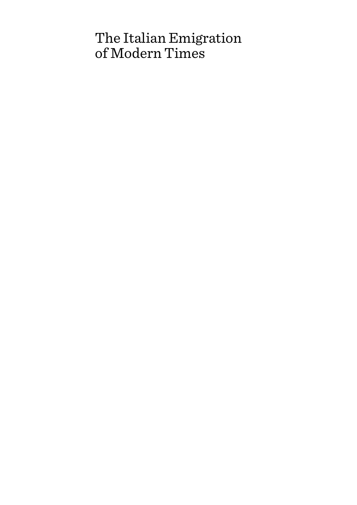# The Italian Emigration of Modern Times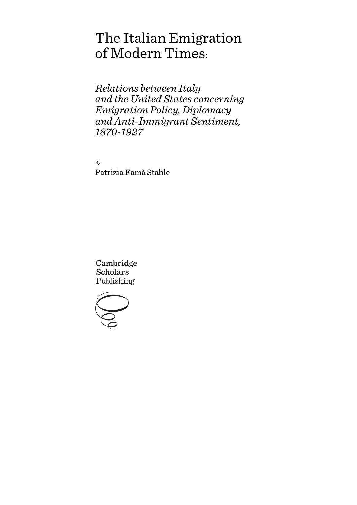# The Italian Emigration of Modern Times:

*Relations between Italy and the United States concerning Emigration Policy, Diplomacy and Anti-Immigrant Sentiment, 1870-1927*

By Patrizia Famà Stahle

Cambridge Scholars Publishing

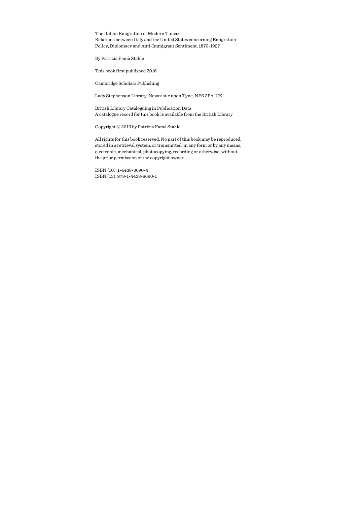The Italian Emigration of Modern Times: Relations between Italy and the United States concerning Emigration Policy, Diplomacy and Anti-Immigrant Sentiment, 1870-1927

By Patrizia Famà Stahle

This book first published 2016

Cambridge Scholars Publishing

Lady Stephenson Library, Newcastle upon Tyne, NE6 2PA, UK

British Library Cataloguing in Publication Data A catalogue record for this book is available from the British Library

Copyright © 2016 by Patrizia Famà Stahle

All rights for this book reserved. No part of this book may be reproduced, stored in a retrieval system, or transmitted, in any form or by any means, electronic, mechanical, photocopying, recording or otherwise, without the prior permission of the copyright owner.

ISBN (10): 1-4438-8690-4 ISBN (13): 978-1-4438-8690-1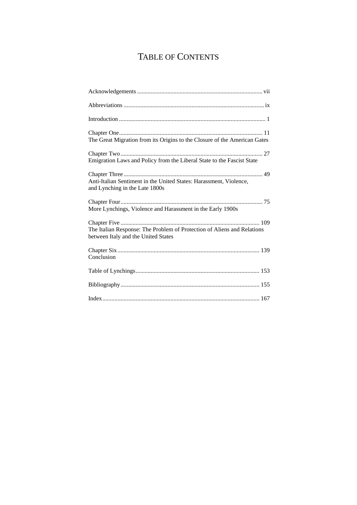# TABLE OF CONTENTS

| The Great Migration from its Origins to the Closure of the American Gates                                      |
|----------------------------------------------------------------------------------------------------------------|
| Emigration Laws and Policy from the Liberal State to the Fascist State                                         |
| Anti-Italian Sentiment in the United States: Harassment, Violence,<br>and Lynching in the Late 1800s           |
| More Lynchings, Violence and Harassment in the Early 1900s                                                     |
| The Italian Response: The Problem of Protection of Aliens and Relations<br>between Italy and the United States |
| Conclusion                                                                                                     |
|                                                                                                                |
|                                                                                                                |
|                                                                                                                |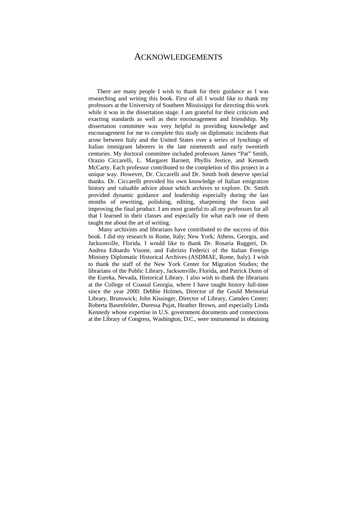### ACKNOWLEDGEMENTS

There are many people I wish to thank for their guidance as I was researching and writing this book. First of all I would like to thank my professors at the University of Southern Mississippi for directing this work while it was in the dissertation stage. I am grateful for their criticism and exacting standards as well as their encouragement and friendship. My dissertation committee was very helpful in providing knowledge and encouragement for me to complete this study on diplomatic incidents that arose between Italy and the United States over a series of lynchings of Italian immigrant laborers in the late nineteenth and early twentieth centuries. My doctoral committee included professors James "Pat" Smith, Orazio Ciccarelli, L. Margaret Barnett, Phyllis Jestice, and Kenneth McCarty. Each professor contributed to the completion of this project in a unique way. However, Dr. Ciccarelli and Dr. Smith both deserve special thanks. Dr. Ciccarelli provided his own knowledge of Italian emigration history and valuable advice about which archives to explore. Dr. Smith provided dynamic guidance and leadership especially during the last months of rewriting, polishing, editing, sharpening the focus and improving the final product. I am most grateful to all my professors for all that I learned in their classes and especially for what each one of them taught me about the art of writing.

 Many archivists and librarians have contributed to the success of this book. I did my research in Rome, Italy; New York; Athens, Georgia, and Jacksonville, Florida. I would like to thank Dr. Rosaria Ruggeri, Dr. Andrea Edoardo Visone, and Fabrizio Federici of the Italian Foreign Ministry Diplomatic Historical Archives (ASDMAE, Rome, Italy). I wish to thank the staff of the New York Center for Migration Studies; the librarians of the Public Library, Jacksonville, Florida, and Patrick Dunn of the Eureka, Nevada, Historical Library. I also wish to thank the librarians at the College of Coastal Georgia, where I have taught history full-time since the year 2000: Debbie Holmes, Director of the Gould Memorial Library, Brunswick; John Kissinger, Director of Library, Camden Center; Roberta Basenfelder, Duressa Pujat, Heather Brown, and especially Linda Kennedy whose expertise in U.S. government documents and connections at the Library of Congress, Washington, D.C., were instrumental in obtaining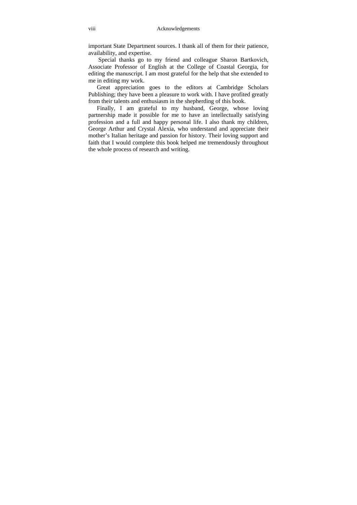important State Department sources. I thank all of them for their patience, availability, and expertise.

 Special thanks go to my friend and colleague Sharon Bartkovich, Associate Professor of English at the College of Coastal Georgia, for editing the manuscript. I am most grateful for the help that she extended to me in editing my work.

Great appreciation goes to the editors at Cambridge Scholars Publishing; they have been a pleasure to work with. I have profited greatly from their talents and enthusiasm in the shepherding of this book.

Finally, I am grateful to my husband, George, whose loving partnership made it possible for me to have an intellectually satisfying profession and a full and happy personal life. I also thank my children, George Arthur and Crystal Alexia, who understand and appreciate their mother's Italian heritage and passion for history. Their loving support and faith that I would complete this book helped me tremendously throughout the whole process of research and writing.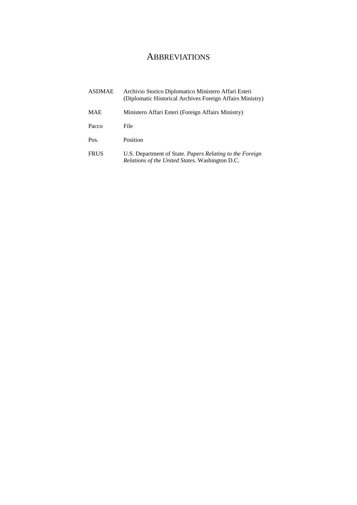## **ABBREVIATIONS**

| ASDMAE      | Archivio Storico Diplomatico Ministero Affari Esteri<br>(Diplomatic Historical Archives Foreign Affairs Ministry)         |
|-------------|---------------------------------------------------------------------------------------------------------------------------|
| MAE         | Ministero Affari Esteri (Foreign Affairs Ministry)                                                                        |
| Pacco       | File                                                                                                                      |
| Pos.        | Position                                                                                                                  |
| <b>FRUS</b> | U.S. Department of State. <i>Papers Relating to the Foreign</i><br><i>Relations of the United States.</i> Washington D.C. |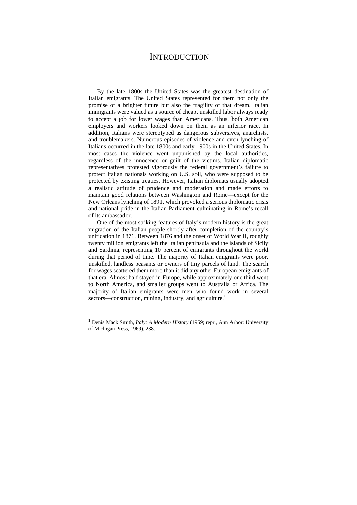### **INTRODUCTION**

By the late 1800s the United States was the greatest destination of Italian emigrants. The United States represented for them not only the promise of a brighter future but also the fragility of that dream. Italian immigrants were valued as a source of cheap, unskilled labor always ready to accept a job for lower wages than Americans. Thus, both American employers and workers looked down on them as an inferior race. In addition, Italians were stereotyped as dangerous subversives, anarchists, and troublemakers. Numerous episodes of violence and even lynching of Italians occurred in the late 1800s and early 1900s in the United States. In most cases the violence went unpunished by the local authorities, regardless of the innocence or guilt of the victims. Italian diplomatic representatives protested vigorously the federal government's failure to protect Italian nationals working on U.S. soil, who were supposed to be protected by existing treaties. However, Italian diplomats usually adopted a realistic attitude of prudence and moderation and made efforts to maintain good relations between Washington and Rome—except for the New Orleans lynching of 1891, which provoked a serious diplomatic crisis and national pride in the Italian Parliament culminating in Rome's recall of its ambassador.

One of the most striking features of Italy's modern history is the great migration of the Italian people shortly after completion of the country's unification in 1871. Between 1876 and the onset of World War II, roughly twenty million emigrants left the Italian peninsula and the islands of Sicily and Sardinia, representing 10 percent of emigrants throughout the world during that period of time. The majority of Italian emigrants were poor, unskilled, landless peasants or owners of tiny parcels of land. The search for wages scattered them more than it did any other European emigrants of that era. Almost half stayed in Europe, while approximately one third went to North America, and smaller groups went to Australia or Africa. The majority of Italian emigrants were men who found work in several sectors—construction, mining, industry, and agriculture.<sup>1</sup>

<sup>&</sup>lt;sup>1</sup> Denis Mack Smith, *Italy: A Modern History* (1959; repr., Ann Arbor: University of Michigan Press, 1969), 238.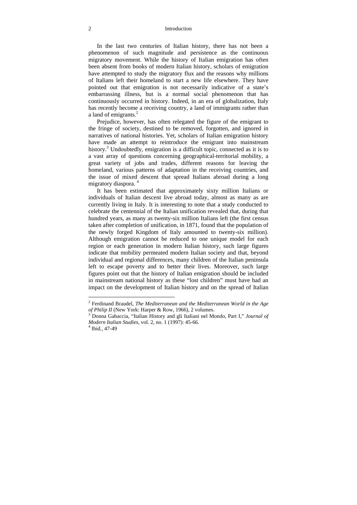#### 2 Introduction

In the last two centuries of Italian history, there has not been a phenomenon of such magnitude and persistence as the continuous migratory movement. While the history of Italian emigration has often been absent from books of modern Italian history, scholars of emigration have attempted to study the migratory flux and the reasons why millions of Italians left their homeland to start a new life elsewhere. They have pointed out that emigration is not necessarily indicative of a state's embarrassing illness, but is a normal social phenomenon that has continuously occurred in history. Indeed, in an era of globalization, Italy has recently become a receiving country, a land of immigrants rather than a land of emigrants.<sup>2</sup>

Prejudice, however, has often relegated the figure of the emigrant to the fringe of society, destined to be removed, forgotten, and ignored in narratives of national histories. Yet, scholars of Italian emigration history have made an attempt to reintroduce the emigrant into mainstream history.<sup>3</sup> Undoubtedly, emigration is a difficult topic, connected as it is to a vast array of questions concerning geographical-territorial mobility, a great variety of jobs and trades, different reasons for leaving the homeland, various patterns of adaptation in the receiving countries, and the issue of mixed descent that spread Italians abroad during a long migratory diaspora.<sup>4</sup>

It has been estimated that approximately sixty million Italians or individuals of Italian descent live abroad today, almost as many as are currently living in Italy. It is interesting to note that a study conducted to celebrate the centennial of the Italian unification revealed that, during that hundred years, as many as twenty-six million Italians left (the first census taken after completion of unification, in 1871, found that the population of the newly forged Kingdom of Italy amounted to twenty-six million). Although emigration cannot be reduced to one unique model for each region or each generation in modern Italian history, such large figures indicate that mobility permeated modern Italian society and that, beyond individual and regional differences, many children of the Italian peninsula left to escape poverty and to better their lives. Moreover, such large figures point out that the history of Italian emigration should be included in mainstream national history as these "lost children" must have had an impact on the development of Italian history and on the spread of Italian

<sup>2</sup> Ferdinand Braudel, *The Mediterranean and the Mediterranean World in the Age of Philip II* (New York: Harper & Row, 1966), 2 volumes.

Donna Gabaccia, "Italian History and gli Italiani nel Mondo, Part I," *Journal of Modern Italian Studies*, vol. 2, no. 1 (1997): 45-66. 4

 $4$  Ibid., 47-49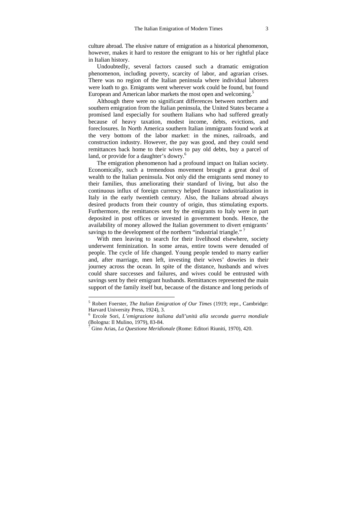culture abroad. The elusive nature of emigration as a historical phenomenon, however, makes it hard to restore the emigrant to his or her rightful place in Italian history.

Undoubtedly, several factors caused such a dramatic emigration phenomenon, including poverty, scarcity of labor, and agrarian crises. There was no region of the Italian peninsula where individual laborers were loath to go. Emigrants went wherever work could be found, but found European and American labor markets the most open and welcoming.<sup>5</sup>

Although there were no significant differences between northern and southern emigration from the Italian peninsula, the United States became a promised land especially for southern Italians who had suffered greatly because of heavy taxation, modest income, debts, evictions, and foreclosures. In North America southern Italian immigrants found work at the very bottom of the labor market: in the mines, railroads, and construction industry. However, the pay was good, and they could send remittances back home to their wives to pay old debts, buy a parcel of land, or provide for a daughter's dowry.<sup>6</sup>

The emigration phenomenon had a profound impact on Italian society. Economically, such a tremendous movement brought a great deal of wealth to the Italian peninsula. Not only did the emigrants send money to their families, thus ameliorating their standard of living, but also the continuous influx of foreign currency helped finance industrialization in Italy in the early twentieth century. Also, the Italians abroad always desired products from their country of origin, thus stimulating exports. Furthermore, the remittances sent by the emigrants to Italy were in part deposited in post offices or invested in government bonds. Hence, the availability of money allowed the Italian government to divert emigrants' savings to the development of the northern "industrial triangle." $7$ 

With men leaving to search for their livelihood elsewhere, society underwent feminization. In some areas, entire towns were denuded of people. The cycle of life changed. Young people tended to marry earlier and, after marriage, men left, investing their wives' dowries in their journey across the ocean. In spite of the distance, husbands and wives could share successes and failures, and wives could be entrusted with savings sent by their emigrant husbands. Remittances represented the main support of the family itself but, because of the distance and long periods of

<sup>5</sup> Robert Foerster, *The Italian Emigration of Our Times* (1919; repr., Cambridge: Harvard University Press, 1924), 3.

<sup>6</sup> Ercole Sori, *L'emigrazione italiana dall'unità alla seconda guerra mondiale* (Bologna: Il Mulino, 1979), 83-84.

<sup>7</sup> Gino Arias, *La Questione Meridionale* (Rome: Editori Riuniti, 1970), 420.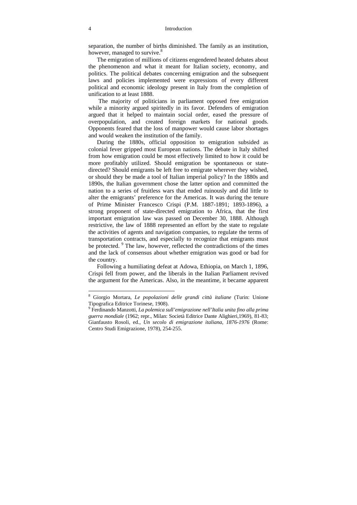#### 4 Introduction

separation, the number of births diminished. The family as an institution, however, managed to survive.<sup>8</sup>

The emigration of millions of citizens engendered heated debates about the phenomenon and what it meant for Italian society, economy, and politics. The political debates concerning emigration and the subsequent laws and policies implemented were expressions of every different political and economic ideology present in Italy from the completion of unification to at least 1888.

 The majority of politicians in parliament opposed free emigration while a minority argued spiritedly in its favor. Defenders of emigration argued that it helped to maintain social order, eased the pressure of overpopulation, and created foreign markets for national goods. Opponents feared that the loss of manpower would cause labor shortages and would weaken the institution of the family.

During the 1880s, official opposition to emigration subsided as colonial fever gripped most European nations. The debate in Italy shifted from how emigration could be most effectively limited to how it could be more profitably utilized. Should emigration be spontaneous or statedirected? Should emigrants be left free to emigrate wherever they wished, or should they be made a tool of Italian imperial policy? In the 1880s and 1890s, the Italian government chose the latter option and committed the nation to a series of fruitless wars that ended ruinously and did little to alter the emigrants' preference for the Americas. It was during the tenure of Prime Minister Francesco Crispi (P.M. 1887-1891; 1893-1896), a strong proponent of state-directed emigration to Africa, that the first important emigration law was passed on December 30, 1888. Although restrictive, the law of 1888 represented an effort by the state to regulate the activities of agents and navigation companies, to regulate the terms of transportation contracts, and especially to recognize that emigrants must be protected. <sup>9</sup> The law, however, reflected the contradictions of the times and the lack of consensus about whether emigration was good or bad for the country.

Following a humiliating defeat at Adowa, Ethiopia, on March 1, 1896, Crispi fell from power, and the liberals in the Italian Parliament revived the argument for the Americas. Also, in the meantime, it became apparent

<sup>8</sup> Giorgio Mortara, *Le popolazioni delle grandi città italiane* (Turin: Unione Tipografica Editrice Torinese, 1908).

<sup>9</sup> Ferdinando Manzotti, *La polemica sull'emigrazione nell'Italia unita fino alla prima guerra mondiale* (1962; repr., Milan: Società Editrice Dante Alighieri,1969), 81-83; Gianfausto Rosoli, ed., *Un secolo di emigrazione italiana*, *1876-1976* (Rome: Centro Studi Emigrazione, 1978), 254-255.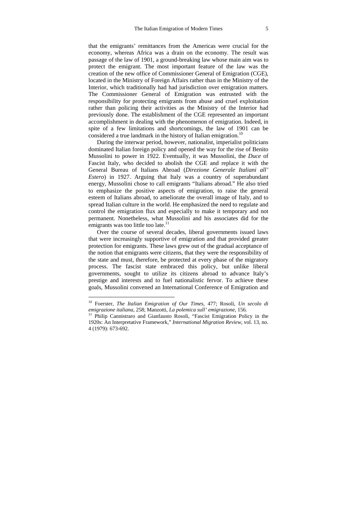that the emigrants' remittances from the Americas were crucial for the economy, whereas Africa was a drain on the economy. The result was passage of the law of 1901, a ground-breaking law whose main aim was to protect the emigrant. The most important feature of the law was the creation of the new office of Commissioner General of Emigration (CGE), located in the Ministry of Foreign Affairs rather than in the Ministry of the Interior, which traditionally had had jurisdiction over emigration matters. The Commissioner General of Emigration was entrusted with the responsibility for protecting emigrants from abuse and cruel exploitation rather than policing their activities as the Ministry of the Interior had previously done. The establishment of the CGE represented an important accomplishment in dealing with the phenomenon of emigration. Indeed, in spite of a few limitations and shortcomings, the law of 1901 can be considered a true landmark in the history of Italian emigration.<sup>10</sup>

During the interwar period, however, nationalist, imperialist politicians dominated Italian foreign policy and opened the way for the rise of Benito Mussolini to power in 1922. Eventually, it was Mussolini, the *Duce* of Fascist Italy, who decided to abolish the CGE and replace it with the General Bureau of Italians Abroad (*Direzione Generale Italiani all' Estero*) in 1927. Arguing that Italy was a country of superabundant energy, Mussolini chose to call emigrants "Italians abroad." He also tried to emphasize the positive aspects of emigration, to raise the general esteem of Italians abroad, to ameliorate the overall image of Italy, and to spread Italian culture in the world. He emphasized the need to regulate and control the emigration flux and especially to make it temporary and not permanent. Nonetheless, what Mussolini and his associates did for the emigrants was too little too late.<sup>11</sup>

Over the course of several decades, liberal governments issued laws that were increasingly supportive of emigration and that provided greater protection for emigrants. These laws grew out of the gradual acceptance of the notion that emigrants were citizens, that they were the responsibility of the state and must, therefore, be protected at every phase of the migratory process. The fascist state embraced this policy, but unlike liberal governments, sought to utilize its citizens abroad to advance Italy's prestige and interests and to fuel nationalistic fervor. To achieve these goals, Mussolini convened an International Conference of Emigration and

<sup>10</sup> Foerster, *The Italian Emigration of Our Times*, 477; Rosoli, *Un secolo di emigrazione italiana*, 258; Manzotti, *La polemica sull' emigrazione*, 156.<br><sup>11</sup> Philip Cannistraro and Gianfausto Rosoli, "Fascist Emigration Policy in the

<sup>1920</sup>s: An Interpretative Framework," *International Migration Review*, vol. 13, no. 4 (1979): 673-692.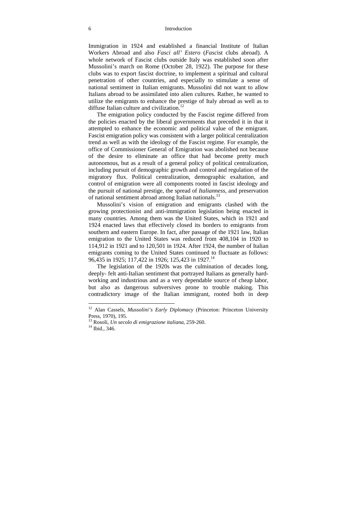#### 6 Introduction

Immigration in 1924 and established a financial Institute of Italian Workers Abroad and also *Fasci all' Estero* (*Fasc*ist clubs abroad). A whole network of Fascist clubs outside Italy was established soon after Mussolini's march on Rome (October 28, 1922). The purpose for these clubs was to export fascist doctrine, to implement a spiritual and cultural penetration of other countries, and especially to stimulate a sense of national sentiment in Italian emigrants. Mussolini did not want to allow Italians abroad to be assimilated into alien cultures. Rather, he wanted to utilize the emigrants to enhance the prestige of Italy abroad as well as to diffuse Italian culture and civilization.<sup>12</sup>

The emigration policy conducted by the Fascist regime differed from the policies enacted by the liberal governments that preceded it in that it attempted to enhance the economic and political value of the emigrant. Fascist emigration policy was consistent with a larger political centralization trend as well as with the ideology of the Fascist regime. For example, the office of Commissioner General of Emigration was abolished not because of the desire to eliminate an office that had become pretty much autonomous, but as a result of a general policy of political centralization, including pursuit of demographic growth and control and regulation of the migratory flux. Political centralization, demographic exaltation, and control of emigration were all components rooted in fascist ideology and the pursuit of national prestige, the spread of *Italianness*, and preservation of national sentiment abroad among Italian nationals.13

Mussolini's vision of emigration and emigrants clashed with the growing protectionist and anti-immigration legislation being enacted in many countries. Among them was the United States, which in 1921 and 1924 enacted laws that effectively closed its borders to emigrants from southern and eastern Europe. In fact, after passage of the 1921 law, Italian emigration to the United States was reduced from 408,104 in 1920 to 114,912 in 1921 and to 120,501 in 1924. After 1924, the number of Italian emigrants coming to the United States continued to fluctuate as follows: 96,435 in 1925; 117,422 in 1926; 125,423 in 1927.<sup>14</sup>

The legislation of the 1920s was the culmination of decades long, deeply- felt anti-Italian sentiment that portrayed Italians as generally hardworking and industrious and as a very dependable source of cheap labor, but also as dangerous subversives prone to trouble making. This contradictory image of the Italian immigrant, rooted both in deep

<sup>&</sup>lt;sup>12</sup> Alan Cassels, *Mussolini's Early Diplomacy* (Princeton: Princeton University Press, 1970), 195.

<sup>13</sup> Rosoli, *Un secolo di emigrazione italiana*, 259-260. 14 Ibid., 346.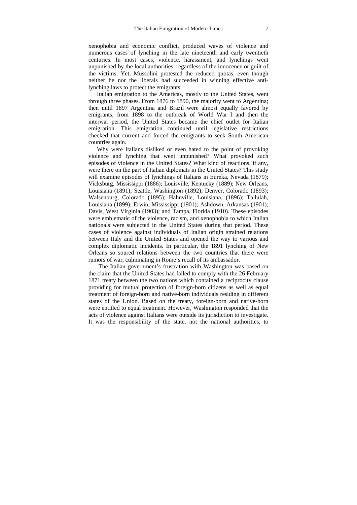xenophobia and economic conflict, produced waves of violence and numerous cases of lynching in the late nineteenth and early twentieth centuries. In most cases, violence, harassment, and lynchings went unpunished by the local authorities, regardless of the innocence or guilt of the victims. Yet, Mussolini protested the reduced quotas, even though neither he nor the liberals had succeeded in winning effective antilynching laws to protect the emigrants.

Italian emigration to the Americas, mostly to the United States, went through three phases. From 1876 to 1890, the majority went to Argentina; then until 1897 Argentina and Brazil were almost equally favored by emigrants; from 1898 to the outbreak of World War I and then the interwar period, the United States became the chief outlet for Italian emigration. This emigration continued until legislative restrictions checked that current and forced the emigrants to seek South American countries again.

Why were Italians disliked or even hated to the point of provoking violence and lynching that went unpunished? What provoked such episodes of violence in the United States? What kind of reactions, if any, were there on the part of Italian diplomats in the United States? This study will examine episodes of lynchings of Italians in Eureka, Nevada (1879); Vicksburg, Mississippi (1886); Louisville, Kentucky (1889); New Orleans, Louisiana (1891); Seattle, Washington (1892); Denver, Colorado (1893); Walsenburg, Colorado (1895); Hahnville, Louisiana, (1896); Tallulah, Louisiana (1899); Erwin, Mississippi (1901); Ashdown, Arkansas (1901); Davis, West Virginia (1903); and Tampa, Florida (1910). These episodes were emblematic of the violence, racism, and xenophobia to which Italian nationals were subjected in the United States during that period. These cases of violence against individuals of Italian origin strained relations between Italy and the United States and opened the way to various and complex diplomatic incidents. In particular, the 1891 lynching of New Orleans so soured relations between the two countries that there were rumors of war, culminating in Rome's recall of its ambassador.

 The Italian government's frustration with Washington was based on the claim that the United States had failed to comply with the 26 February 1871 treaty between the two nations which contained a reciprocity clause providing for mutual protection of foreign-born citizens as well as equal treatment of foreign-born and native-born individuals residing in different states of the Union. Based on the treaty, foreign-born and native-born were entitled to equal treatment. However, Washington responded that the acts of violence against Italians were outside its jurisdiction to investigate. It was the responsibility of the state, not the national authorities, to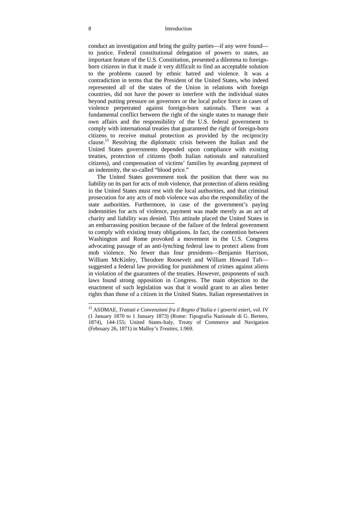conduct an investigation and bring the guilty parties—if any were found to justice. Federal constitutional delegation of powers to states, an important feature of the U.S. Constitution, presented a dilemma to foreignborn citizens in that it made it very difficult to find an acceptable solution to the problems caused by ethnic hatred and violence. It was a contradiction in terms that the President of the United States, who indeed represented all of the states of the Union in relations with foreign countries, did not have the power to interfere with the individual states beyond putting pressure on governors or the local police force in cases of violence perpetrated against foreign-born nationals. There was a fundamental conflict between the right of the single states to manage their own affairs and the responsibility of the U.S. federal government to comply with international treaties that guaranteed the right of foreign-born citizens to receive mutual protection as provided by the reciprocity clause.15 Resolving the diplomatic crisis between the Italian and the United States governments depended upon compliance with existing treaties, protection of citizens (both Italian nationals and naturalized citizens), and compensation of victims' families by awarding payment of an indemnity, the so-called "blood price."

The United States government took the position that there was no liability on its part for acts of mob violence, that protection of aliens residing in the United States must rest with the local authorities, and that criminal prosecution for any acts of mob violence was also the responsibility of the state authorities. Furthermore, in case of the government's paying indemnities for acts of violence, payment was made merely as an act of charity and liability was denied. This attitude placed the United States in an embarrassing position because of the failure of the federal government to comply with existing treaty obligations. In fact, the contention between Washington and Rome provoked a movement in the U.S. Congress advocating passage of an anti-lynching federal law to protect aliens from mob violence. No fewer than four presidents—Benjamin Harrison, William McKinley, Theodore Roosevelt and William Howard Taft suggested a federal law providing for punishment of crimes against aliens in violation of the guarantees of the treaties. However, proponents of such laws found strong opposition in Congress. The main objection to the enactment of such legislation was that it would grant to an alien better rights than those of a citizen in the United States. Italian representatives in

<sup>15</sup> ASDMAE, *Trattati e Convenzioni fra il Regno d'Italia e i governi ester*i, vol. IV (1 January 1870 to 1 January 1873) (Rome: Tipografia Nazionale di G. Bertero, 1874), 144-155; United States-Italy, Treaty of Commerce and Navigation (February 26, 1871) in Malloy's *Treaties*, 1:969.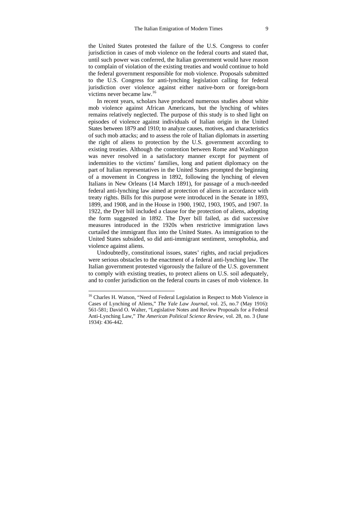the United States protested the failure of the U.S. Congress to confer jurisdiction in cases of mob violence on the federal courts and stated that, until such power was conferred, the Italian government would have reason to complain of violation of the existing treaties and would continue to hold the federal government responsible for mob violence. Proposals submitted to the U.S. Congress for anti-lynching legislation calling for federal jurisdiction over violence against either native-born or foreign-born victims never became law.16

In recent years, scholars have produced numerous studies about white mob violence against African Americans, but the lynching of whites remains relatively neglected. The purpose of this study is to shed light on episodes of violence against individuals of Italian origin in the United States between 1879 and 1910; to analyze causes, motives, and characteristics of such mob attacks; and to assess the role of Italian diplomats in asserting the right of aliens to protection by the U.S. government according to existing treaties. Although the contention between Rome and Washington was never resolved in a satisfactory manner except for payment of indemnities to the victims' families, long and patient diplomacy on the part of Italian representatives in the United States prompted the beginning of a movement in Congress in 1892, following the lynching of eleven Italians in New Orleans (14 March 1891), for passage of a much-needed federal anti-lynching law aimed at protection of aliens in accordance with treaty rights. Bills for this purpose were introduced in the Senate in 1893, 1899, and 1908, and in the House in 1900, 1902, 1903, 1905, and 1907. In 1922, the Dyer bill included a clause for the protection of aliens, adopting the form suggested in 1892. The Dyer bill failed, as did successive measures introduced in the 1920s when restrictive immigration laws curtailed the immigrant flux into the United States. As immigration to the United States subsided, so did anti-immigrant sentiment, xenophobia, and violence against aliens.

Undoubtedly, constitutional issues, states' rights, and racial prejudices were serious obstacles to the enactment of a federal anti-lynching law. The Italian government protested vigorously the failure of the U.S. government to comply with existing treaties, to protect aliens on U.S. soil adequately, and to confer jurisdiction on the federal courts in cases of mob violence. In

<sup>&</sup>lt;sup>16</sup> Charles H. Watson, "Need of Federal Legislation in Respect to Mob Violence in Cases of Lynching of Aliens," *The Yale Law Journal*, vol. 25, no.7 (May 1916): 561-581; David O. Walter, "Legislative Notes and Review Proposals for a Federal Anti-Lynching Law," *The American Political Science Review,* vol. 28, no. 3 (June 1934): 436-442.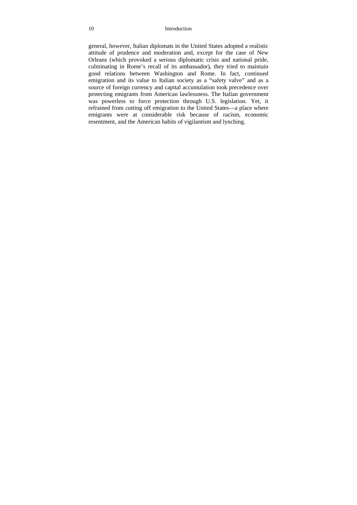general, however, Italian diplomats in the United States adopted a realistic attitude of prudence and moderation and, except for the case of New Orleans (which provoked a serious diplomatic crisis and national pride, culminating in Rome's recall of its ambassador), they tried to maintain good relations between Washington and Rome. In fact, continued emigration and its value to Italian society as a "safety valve" and as a source of foreign currency and capital accumulation took precedence over protecting emigrants from American lawlessness. The Italian government was powerless to force protection through U.S. legislation. Yet, it refrained from cutting off emigration to the United States—a place where emigrants were at considerable risk because of racism, economic resentment, and the American habits of vigilantism and lynching.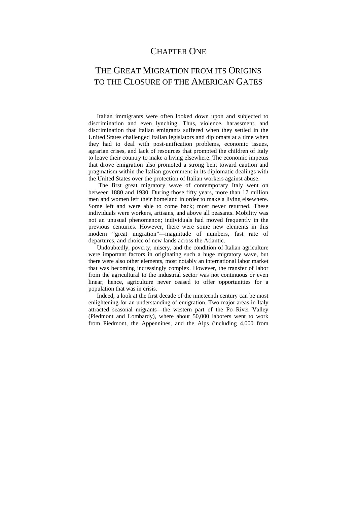### CHAPTER ONE

## THE GREAT MIGRATION FROM ITS ORIGINS TO THE CLOSURE OF THE AMERICAN GATES

Italian immigrants were often looked down upon and subjected to discrimination and even lynching. Thus, violence, harassment, and discrimination that Italian emigrants suffered when they settled in the United States challenged Italian legislators and diplomats at a time when they had to deal with post-unification problems, economic issues, agrarian crises, and lack of resources that prompted the children of Italy to leave their country to make a living elsewhere. The economic impetus that drove emigration also promoted a strong bent toward caution and pragmatism within the Italian government in its diplomatic dealings with the United States over the protection of Italian workers against abuse.

 The first great migratory wave of contemporary Italy went on between 1880 and 1930. During those fifty years, more than 17 million men and women left their homeland in order to make a living elsewhere. Some left and were able to come back; most never returned. These individuals were workers, artisans, and above all peasants. Mobility was not an unusual phenomenon; individuals had moved frequently in the previous centuries. However, there were some new elements in this modern "great migration"—magnitude of numbers, fast rate of departures, and choice of new lands across the Atlantic.

Undoubtedly, poverty, misery, and the condition of Italian agriculture were important factors in originating such a huge migratory wave, but there were also other elements, most notably an international labor market that was becoming increasingly complex. However, the transfer of labor from the agricultural to the industrial sector was not continuous or even linear; hence, agriculture never ceased to offer opportunities for a population that was in crisis.

Indeed, a look at the first decade of the nineteenth century can be most enlightening for an understanding of emigration. Two major areas in Italy attracted seasonal migrants—the western part of the Po River Valley (Piedmont and Lombardy), where about 50,000 laborers went to work from Piedmont, the Appennines, and the Alps (including 4,000 from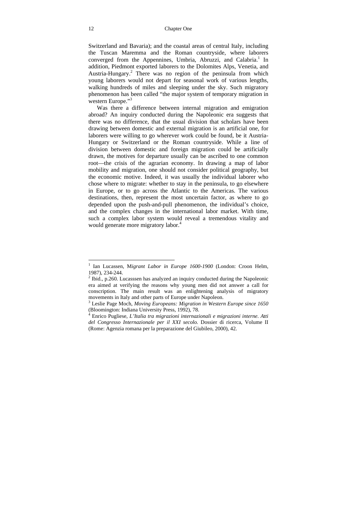Switzerland and Bavaria); and the coastal areas of central Italy, including the Tuscan Maremma and the Roman countryside, where laborers converged from the Appennines, Umbria, Abruzzi, and Calabria.<sup>1</sup> In addition, Piedmont exported laborers to the Dolomites Alps, Venetia, and Austria-Hungary.<sup>2</sup> There was no region of the peninsula from which young laborers would not depart for seasonal work of various lengths, walking hundreds of miles and sleeping under the sky. Such migratory phenomenon has been called "the major system of temporary migration in western Europe."<sup>3</sup>

Was there a difference between internal migration and emigration abroad? An inquiry conducted during the Napoleonic era suggests that there was no difference, that the usual division that scholars have been drawing between domestic and external migration is an artificial one, for laborers were willing to go wherever work could be found, be it Austria-Hungary or Switzerland or the Roman countryside. While a line of division between domestic and foreign migration could be artificially drawn, the motives for departure usually can be ascribed to one common root—the crisis of the agrarian economy. In drawing a map of labor mobility and migration, one should not consider political geography, but the economic motive. Indeed, it was usually the individual laborer who chose where to migrate: whether to stay in the peninsula, to go elsewhere in Europe, or to go across the Atlantic to the Americas. The various destinations, then, represent the most uncertain factor, as where to go depended upon the push-and-pull phenomenon, the individual's choice, and the complex changes in the international labor market. With time, such a complex labor system would reveal a tremendous vitality and would generate more migratory labor.<sup>4</sup>

<sup>&</sup>lt;sup>1</sup> Ian Lucassen, Migrant Labor in Europe 1600-1900 (London: Croon Helm, 1987), 234-244.

 $2$  Ibid., p.260. Lucasssen has analyzed an inquiry conducted during the Napoleonic era aimed at verifying the reasons why young men did not answer a call for conscription. The main result was an enlightening analysis of migratory movements in Italy and other parts of Europe under Napoleon.

Leslie Page Moch, *Moving Europeans: Migration in Western Europe since 1650* (Bloomington: Indiana University Press, 1992), 78. 4

Enrico Pugliese, *L'Italia tra migrazioni internazionali e migrazioni interne*. *Atti del Congresso Internazionale per il XXI secolo.* Dossier di ricerca, Volume II (Rome: Agenzia romana per la preparazione del Giubileo, 2000), 42.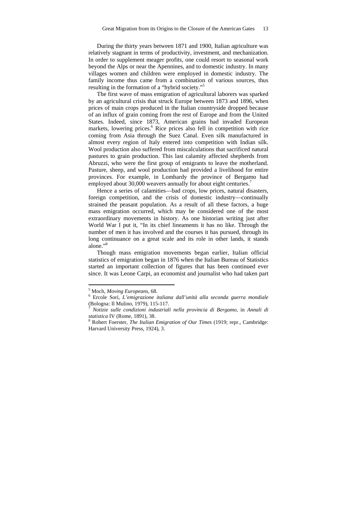During the thirty years between 1871 and 1900, Italian agriculture was relatively stagnant in terms of productivity, investment, and mechanization. In order to supplement meager profits, one could resort to seasonal work beyond the Alps or near the Apennines, and to domestic industry. In many villages women and children were employed in domestic industry. The family income thus came from a combination of various sources, thus resulting in the formation of a "hybrid society."5

The first wave of mass emigration of agricultural laborers was sparked by an agricultural crisis that struck Europe between 1873 and 1896, when prices of main crops produced in the Italian countryside dropped because of an influx of grain coming from the rest of Europe and from the United States. Indeed, since 1873, American grains had invaded European markets, lowering prices.<sup>6</sup> Rice prices also fell in competition with rice coming from Asia through the Suez Canal. Even silk manufactured in almost every region of Italy entered into competition with Indian silk. Wool production also suffered from miscalculations that sacrificed natural pastures to grain production. This last calamity affected shepherds from Abruzzi, who were the first group of emigrants to leave the motherland. Pasture, sheep, and wool production had provided a livelihood for entire provinces. For example, in Lombardy the province of Bergamo had employed about 30,000 weavers annually for about eight centuries.<sup>7</sup>

Hence a series of calamities—bad crops, low prices, natural disasters, foreign competition, and the crisis of domestic industry—continually strained the peasant population. As a result of all these factors, a huge mass emigration occurred, which may be considered one of the most extraordinary movements in history. As one historian writing just after World War I put it, "In its chief lineaments it has no like. Through the number of men it has involved and the courses it has pursued, through its long continuance on a great scale and its role in other lands, it stands alone."<sup>8</sup>

Though mass emigration movements began earlier, Italian official statistics of emigration began in 1876 when the Italian Bureau of Statistics started an important collection of figures that has been continued ever since. It was Leone Carpi, an economist and journalist who had taken part

<sup>&</sup>lt;sup>5</sup> Moch, *Moving Europeans*, 68.<br><sup>6</sup> Erecle Seri, *L'emigrazione* in

Ercole Sori, *L'emigrazione italiana dall'unità alla seconda guerra mondiale*  (Bologna: Il Mulino, 1979), 115-117.

<sup>7</sup> *Notizie sulle condizioni industriali nella provincia di Bergamo*, in *Annali di statistica* IV (Rome, 1891), 38.

Robert Foerster, *The Italian Emigration of Our Times* (1919; repr., Cambridge: Harvard University Press, 1924), 3.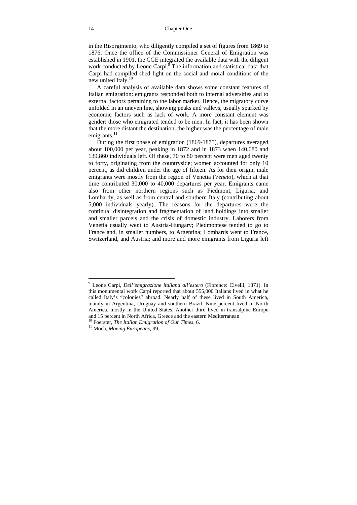in the Risorgimento, who diligently compiled a set of figures from 1869 to 1876. Once the office of the Commissioner General of Emigration was established in 1901, the CGE integrated the available data with the diligent work conducted by Leone Carpi.<sup>9</sup> The information and statistical data that Carpi had compiled shed light on the social and moral conditions of the new united Italy.<sup>10</sup>

A careful analysis of available data shows some constant features of Italian emigration: emigrants responded both to internal adversities and to external factors pertaining to the labor market. Hence, the migratory curve unfolded in an uneven line, showing peaks and valleys, usually sparked by economic factors such as lack of work. A more constant element was gender: those who emigrated tended to be men. In fact, it has been shown that the more distant the destination, the higher was the percentage of male emigrants. $^{11}$ 

During the first phase of emigration (1869-1875), departures averaged about 100,000 per year, peaking in 1872 and in 1873 when 140,680 and 139,860 individuals left. Of these, 70 to 80 percent were men aged twenty to forty, originating from the countryside; women accounted for only 10 percent, as did children under the age of fifteen. As for their origin, male emigrants were mostly from the region of Venetia (*Veneto*), which at that time contributed 30,000 to 40,000 departures per year. Emigrants came also from other northern regions such as Piedmont, Liguria, and Lombardy, as well as from central and southern Italy (contributing about 5,000 individuals yearly). The reasons for the departures were the continual disintegration and fragmentation of land holdings into smaller and smaller parcels and the crisis of domestic industry. Laborers from Venetia usually went to Austria-Hungary; Piedmontese tended to go to France and, in smaller numbers, to Argentina; Lombards went to France, Switzerland, and Austria; and more and more emigrants from Liguria left

<sup>9</sup> Leone Carpi, *Dell'emigrazione italiana all'estero* (Florence: Civelli, 1871). In this monumental work Carpi reported that about 555,000 Italians lived in what he called Italy's "colonies" abroad. Nearly half of these lived in South America, mainly in Argentina, Uruguay and southern Brazil. Nine percent lived in North America, mostly in the United States. Another third lived in transalpine Europe and 15 percent in North Africa, Greece and the eastern Mediterranean.

<sup>10</sup> Foerster, *The Italian Emigration of Our Times*, 6. 11 Moch, *Moving Europeans*, 99.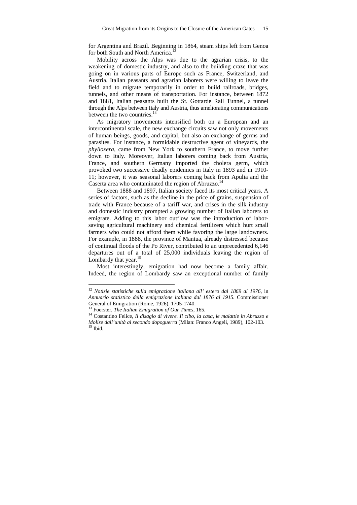for Argentina and Brazil. Beginning in 1864, steam ships left from Genoa for both South and North America.<sup>12</sup>

Mobility across the Alps was due to the agrarian crisis, to the weakening of domestic industry, and also to the building craze that was going on in various parts of Europe such as France, Switzerland, and Austria. Italian peasants and agrarian laborers were willing to leave the field and to migrate temporarily in order to build railroads, bridges, tunnels, and other means of transportation. For instance, between 1872 and 1881, Italian peasants built the St. Gottarde Rail Tunnel, a tunnel through the Alps between Italy and Austria, thus ameliorating communications between the two countries. $^{13}$ 

As migratory movements intensified both on a European and an intercontinental scale, the new exchange circuits saw not only movements of human beings, goods, and capital, but also an exchange of germs and parasites. For instance, a formidable destructive agent of vineyards, the *phylloxera*, came from New York to southern France, to move further down to Italy. Moreover, Italian laborers coming back from Austria, France, and southern Germany imported the cholera germ, which provoked two successive deadly epidemics in Italy in 1893 and in 1910- 11; however, it was seasonal laborers coming back from Apulia and the Caserta area who contaminated the region of Abruzzo.<sup>14</sup>

Between 1888 and 1897, Italian society faced its most critical years. A series of factors, such as the decline in the price of grains, suspension of trade with France because of a tariff war, and crises in the silk industry and domestic industry prompted a growing number of Italian laborers to emigrate. Adding to this labor outflow was the introduction of laborsaving agricultural machinery and chemical fertilizers which hurt small farmers who could not afford them while favoring the large landowners. For example, in 1888, the province of Mantua, already distressed because of continual floods of the Po River, contributed to an unprecedented 6,146 departures out of a total of 25,000 individuals leaving the region of Lombardy that year. $15$ 

Most interestingly, emigration had now become a family affair. Indeed, the region of Lombardy saw an exceptional number of family

<sup>12</sup> *Notizie statistiche sulla emigrazione italiana all' estero dal 1869 al 1976*, in *Annuario statistico della emigrazione italiana dal 1876 al 1915.* Commissioner General of Emigration (Rome, 1926), 1705-1740.<br><sup>13</sup> Foerster, *The Italian Emigration of Our Times*, 165.

<sup>&</sup>lt;sup>14</sup> Costantino Felice, *Il disagio di vivere. Il cibo, la casa, le malattie in Abruzzo e Molise dall'unità al secondo dopoguerra* (Milan: Franco Angeli, 1989), 102-103. 15 Ibid.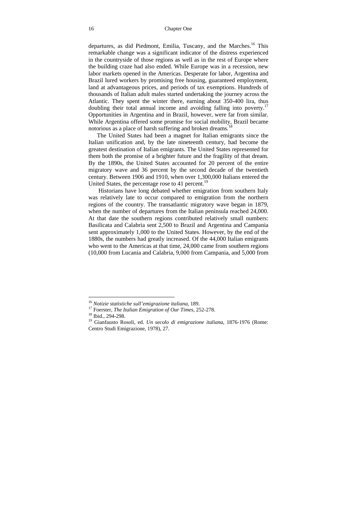#### 16 Chapter One

departures, as did Piedmont, Emilia, Tuscany, and the Marches.<sup>16</sup> This remarkable change was a significant indicator of the distress experienced in the countryside of those regions as well as in the rest of Europe where the building craze had also ended. While Europe was in a recession, new labor markets opened in the Americas. Desperate for labor, Argentina and Brazil lured workers by promising free housing, guaranteed employment, land at advantageous prices, and periods of tax exemptions. Hundreds of thousands of Italian adult males started undertaking the journey across the Atlantic. They spent the winter there, earning about 350-400 lira, thus doubling their total annual income and avoiding falling into poverty.17 Opportunities in Argentina and in Brazil, however, were far from similar. While Argentina offered some promise for social mobility, Brazil became notorious as a place of harsh suffering and broken dreams.<sup>18</sup>

The United States had been a magnet for Italian emigrants since the Italian unification and, by the late nineteenth century, had become the greatest destination of Italian emigrants. The United States represented for them both the promise of a brighter future and the fragility of that dream. By the 1890s, the United States accounted for 20 percent of the entire migratory wave and 36 percent by the second decade of the twentieth century. Between 1906 and 1910, when over 1,300,000 Italians entered the United States, the percentage rose to 41 percent.<sup>19</sup>

 Historians have long debated whether emigration from southern Italy was relatively late to occur compared to emigration from the northern regions of the country. The transatlantic migratory wave began in 1879, when the number of departures from the Italian peninsula reached 24,000. At that date the southern regions contributed relatively small numbers: Basilicata and Calabria sent 2,500 to Brazil and Argentina and Campania sent approximately 1,000 to the United States. However, by the end of the 1880s, the numbers had greatly increased. Of the 44,000 Italian emigrants who went to the Americas at that time, 24,000 came from southern regions (10,000 from Lucania and Calabria, 9,000 from Campania, and 5,000 from

<sup>&</sup>lt;sup>16</sup> Notizie statistiche sull'emigrazione italiana, 189.

<sup>&</sup>lt;sup>17</sup> Foerster, *The Italian Emigration of Our Times*, 252-278.<br><sup>18</sup> Ibid., 294-298.

<sup>19</sup> Gianfausto Rosoli, ed. *Un secolo di emigrazione italiana*, 1876-1976 (Rome: Centro Studi Emigrazione, 1978), 27.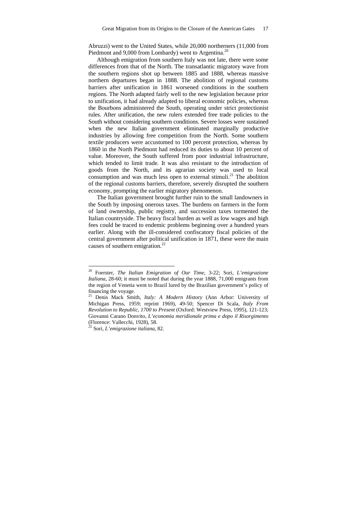Abruzzi) went to the United States, while 20,000 northerners (11,000 from Piedmont and 9,000 from Lombardy) went to Argentina.<sup>20</sup>

Although emigration from southern Italy was not late, there were some differences from that of the North. The transatlantic migratory wave from the southern regions shot up between 1885 and 1888, whereas massive northern departures began in 1888. The abolition of regional customs barriers after unification in 1861 worsened conditions in the southern regions. The North adapted fairly well to the new legislation because prior to unification, it had already adapted to liberal economic policies, whereas the Bourbons administered the South, operating under strict protectionist rules. After unification, the new rulers extended free trade policies to the South without considering southern conditions. Severe losses were sustained when the new Italian government eliminated marginally productive industries by allowing free competition from the North. Some southern textile producers were accustomed to 100 percent protection, whereas by 1860 in the North Piedmont had reduced its duties to about 10 percent of value. Moreover, the South suffered from poor industrial infrastructure, which tended to limit trade. It was also resistant to the introduction of goods from the North, and its agrarian society was used to local consumption and was much less open to external stimuli.<sup>21</sup> The abolition of the regional customs barriers, therefore, severely disrupted the southern economy, prompting the earlier migratory phenomenon.

The Italian government brought further ruin to the small landowners in the South by imposing onerous taxes. The burdens on farmers in the form of land ownership, public registry, and succession taxes tormented the Italian countryside. The heavy fiscal burden as well as low wages and high fees could be traced to endemic problems beginning over a hundred years earlier. Along with the ill-considered confiscatory fiscal policies of the central government after political unification in 1871, these were the main causes of southern emigration.22

<sup>20</sup> Foerster, *The Italian Emigration of Our Time*, 3-22; Sori, *L'emigrazione Italiana*, 28-60; it must be noted that during the year 1888, 71,000 emigrants from the region of Venetia went to Brazil lured by the Brazilian government's policy of financing the voyage.

<sup>21</sup> Denis Mack Smith, *Italy: A Modern History* (Ann Arbor: University of Michigan Press, 1959; reprint 1969), 49-50; Spencer Di Scala, *Italy From Revolution to Republic, 1700 to Present* (Oxford: Westview Press, 1995), 121-123; Giovanni Carano Donvito, *L'economia meridionale prima e dopo il Risorgimento* (Florence: Vallecchi, 1928), 58.

<sup>22</sup> Sori, *L'emigrazione italiana*, 82.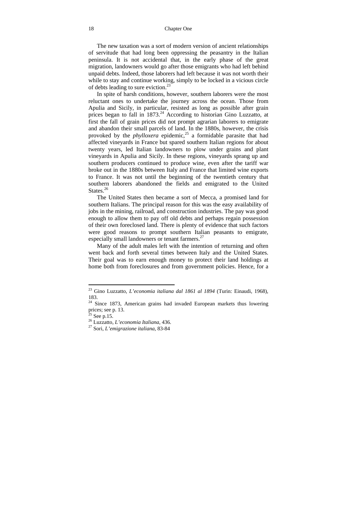The new taxation was a sort of modern version of ancient relationships of servitude that had long been oppressing the peasantry in the Italian peninsula. It is not accidental that, in the early phase of the great migration, landowners would go after those emigrants who had left behind unpaid debts. Indeed, those laborers had left because it was not worth their while to stay and continue working, simply to be locked in a vicious circle of debts leading to sure eviction.23

In spite of harsh conditions, however, southern laborers were the most reluctant ones to undertake the journey across the ocean. Those from Apulia and Sicily, in particular, resisted as long as possible after grain prices began to fall in 1873.<sup>24</sup> According to historian Gino Luzzatto, at first the fall of grain prices did not prompt agrarian laborers to emigrate and abandon their small parcels of land. In the 1880s, however, the crisis provoked by the *phylloxera* epidemic,<sup>25</sup> a formidable parasite that had affected vineyards in France but spared southern Italian regions for about twenty years, led Italian landowners to plow under grains and plant vineyards in Apulia and Sicily. In these regions, vineyards sprang up and southern producers continued to produce wine, even after the tariff war broke out in the 1880s between Italy and France that limited wine exports to France. It was not until the beginning of the twentieth century that southern laborers abandoned the fields and emigrated to the United States.<sup>26</sup>

The United States then became a sort of Mecca, a promised land for southern Italians. The principal reason for this was the easy availability of jobs in the mining, railroad, and construction industries. The pay was good enough to allow them to pay off old debts and perhaps regain possession of their own foreclosed land. There is plenty of evidence that such factors were good reasons to prompt southern Italian peasants to emigrate, especially small landowners or tenant farmers.<sup>27</sup>

Many of the adult males left with the intention of returning and often went back and forth several times between Italy and the United States. Their goal was to earn enough money to protect their land holdings at home both from foreclosures and from government policies. Hence, for a

<sup>23</sup> Gino Luzzatto, *L'economia italiana dal 1861 al 1894* (Turin: Einaudi, 1968), 183.

<sup>&</sup>lt;sup>24</sup> Since 1873, American grains had invaded European markets thus lowering prices; see p. 13.

 $25$  See p.15.

<sup>26</sup> Luzzatto, *L'economia Italiana*, 436. 27 Sori, *L'emigrazione italiana*, 83-84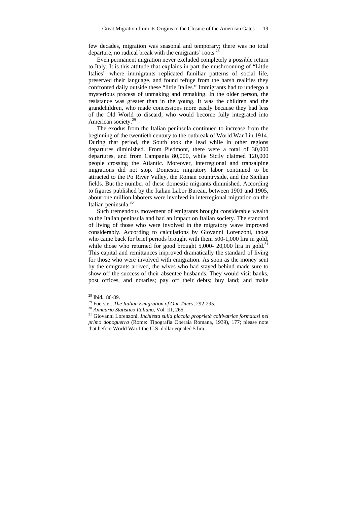few decades, migration was seasonal and temporary; there was no total departure, no radical break with the emigrants' roots.<sup>28</sup>

Even permanent migration never excluded completely a possible return to Italy. It is this attitude that explains in part the mushrooming of "Little Italies" where immigrants replicated familiar patterns of social life, preserved their language, and found refuge from the harsh realities they confronted daily outside these "little Italies." Immigrants had to undergo a mysterious process of unmaking and remaking. In the older person, the resistance was greater than in the young. It was the children and the grandchildren, who made concessions more easily because they had less of the Old World to discard, who would become fully integrated into American society.29

The exodus from the Italian peninsula continued to increase from the beginning of the twentieth century to the outbreak of World War I in 1914. During that period, the South took the lead while in other regions departures diminished. From Piedmont, there were a total of 30,000 departures, and from Campania 80,000, while Sicily claimed 120,000 people crossing the Atlantic. Moreover, interregional and transalpine migrations did not stop. Domestic migratory labor continued to be attracted to the Po River Valley, the Roman countryside, and the Sicilian fields. But the number of these domestic migrants diminished. According to figures published by the Italian Labor Bureau, between 1901 and 1905, about one million laborers were involved in interregional migration on the Italian peninsula.<sup>30</sup>

Such tremendous movement of emigrants brought considerable wealth to the Italian peninsula and had an impact on Italian society. The standard of living of those who were involved in the migratory wave improved considerably. According to calculations by Giovanni Lorenzoni, those who came back for brief periods brought with them 500-1,000 lira in gold, while those who returned for good brought  $5,000$ - 20,000 lira in gold.<sup>31</sup> This capital and remittances improved dramatically the standard of living for those who were involved with emigration. As soon as the money sent by the emigrants arrived, the wives who had stayed behind made sure to show off the success of their absentee husbands. They would visit banks, post offices, and notaries; pay off their debts; buy land; and make

 $28$  Ibid., 86-89.

<sup>29</sup> Foerster, *The Italian Emigration of Our Times*, 292-295. 30 *Annuario Statistico Italiano*, Vol. III, 265. 31 Giovanni Lorenzoni, *Inchiesta sulla piccola proprietà coltivatrice formatasi nel primo dopoguerra* (Rome: Tipografia Operaia Romana, 1939), 177; please note that before World War I the U.S. dollar equaled 5 lira.